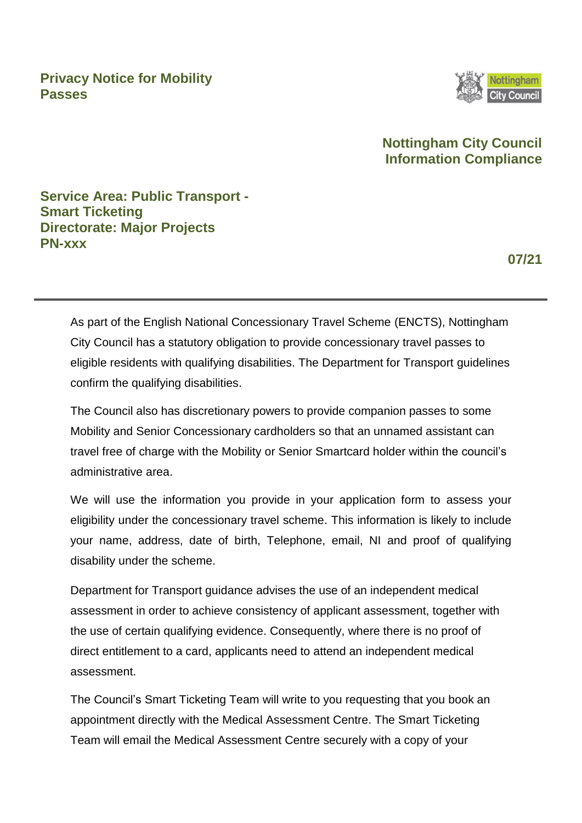**Privacy Notice for Mobility Passes**



# **Nottingham City Council Information Compliance**

**Service Area: Public Transport - Smart Ticketing Directorate: Major Projects PN-xxx**

**07/21** 

As part of the English National Concessionary Travel Scheme (ENCTS), Nottingham City Council has a statutory obligation to provide concessionary travel passes to eligible residents with qualifying disabilities. The Department for Transport guidelines confirm the qualifying disabilities.

The Council also has discretionary powers to provide companion passes to some Mobility and Senior Concessionary cardholders so that an unnamed assistant can travel free of charge with the Mobility or Senior Smartcard holder within the council's administrative area.

We will use the information you provide in your application form to assess your eligibility under the concessionary travel scheme. This information is likely to include your name, address, date of birth, Telephone, email, NI and proof of qualifying disability under the scheme.

Department for Transport guidance advises the use of an independent medical assessment in order to achieve consistency of applicant assessment, together with the use of certain qualifying evidence. Consequently, where there is no proof of direct entitlement to a card, applicants need to attend an independent medical assessment.

The Council's Smart Ticketing Team will write to you requesting that you book an appointment directly with the Medical Assessment Centre. The Smart Ticketing Team will email the Medical Assessment Centre securely with a copy of your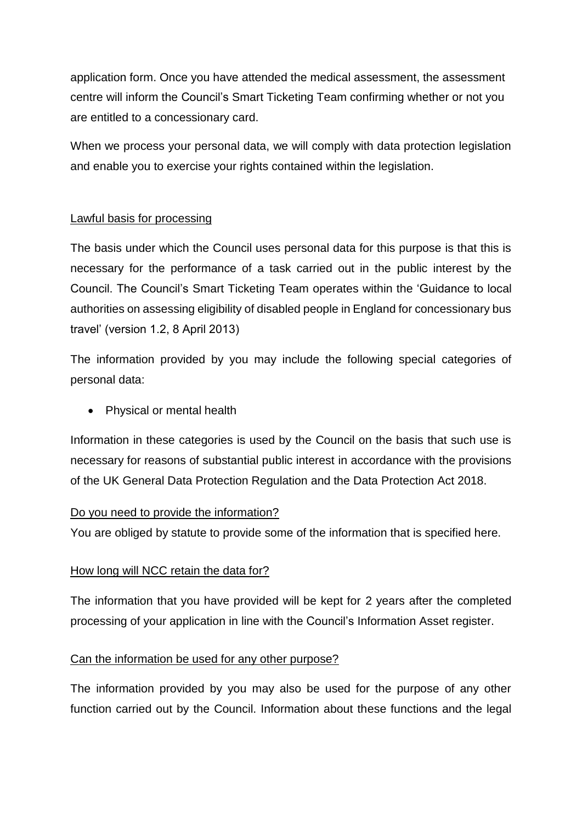application form. Once you have attended the medical assessment, the assessment centre will inform the Council's Smart Ticketing Team confirming whether or not you are entitled to a concessionary card.

When we process your personal data, we will comply with data protection legislation and enable you to exercise your rights contained within the legislation.

# Lawful basis for processing

The basis under which the Council uses personal data for this purpose is that this is necessary for the performance of a task carried out in the public interest by the Council. The Council's Smart Ticketing Team operates within the 'Guidance to local authorities on assessing eligibility of disabled people in England for concessionary bus travel' (version 1.2, 8 April 2013)

The information provided by you may include the following special categories of personal data:

• Physical or mental health

Information in these categories is used by the Council on the basis that such use is necessary for reasons of substantial public interest in accordance with the provisions of the UK General Data Protection Regulation and the Data Protection Act 2018.

# Do you need to provide the information?

You are obliged by statute to provide some of the information that is specified here.

# How long will NCC retain the data for?

The information that you have provided will be kept for 2 years after the completed processing of your application in line with the Council's Information Asset register.

### Can the information be used for any other purpose?

The information provided by you may also be used for the purpose of any other function carried out by the Council. Information about these functions and the legal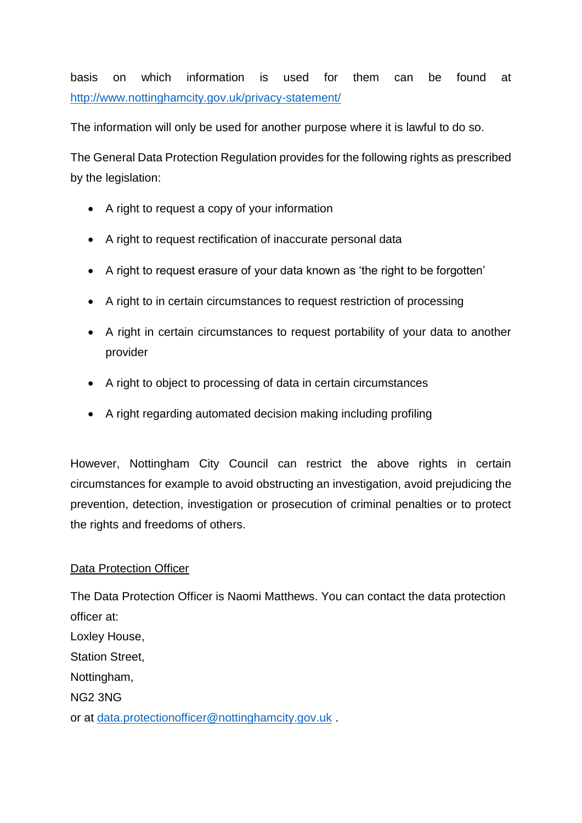basis on which information is used for them can be found at <http://www.nottinghamcity.gov.uk/privacy-statement/>

The information will only be used for another purpose where it is lawful to do so.

The General Data Protection Regulation provides for the following rights as prescribed by the legislation:

- A right to request a copy of your information
- A right to request rectification of inaccurate personal data
- A right to request erasure of your data known as 'the right to be forgotten'
- A right to in certain circumstances to request restriction of processing
- A right in certain circumstances to request portability of your data to another provider
- A right to object to processing of data in certain circumstances
- A right regarding automated decision making including profiling

However, Nottingham City Council can restrict the above rights in certain circumstances for example to avoid obstructing an investigation, avoid prejudicing the prevention, detection, investigation or prosecution of criminal penalties or to protect the rights and freedoms of others.

# Data Protection Officer

The Data Protection Officer is Naomi Matthews. You can contact the data protection officer at: Loxley House, Station Street, Nottingham, NG2 3NG or at [data.protectionofficer@nottinghamcity.gov.uk](mailto:data.protectionofficer@nottinghamcity.gov.uk) .